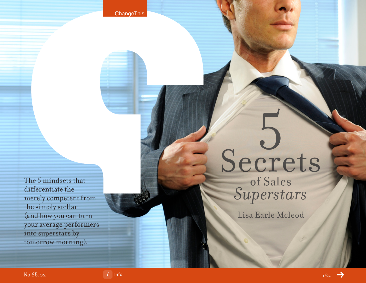**ChangeThis** 

The 5 mindsets that differentiate the merely competent from the simply stellar (and how you can turn your average performers into superstars by tomorrow morning).

# Secrets

of Sales *Superstars*

Lisa Earle Mcleod

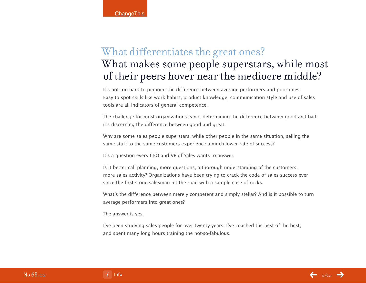# What differentiates the great ones? What makes some people superstars, while most of their peers hover near the mediocre middle?

It's not too hard to pinpoint the difference between average performers and poor ones. Easy to spot skills like work habits, product knowledge, communication style and use of sales tools are all indicators of general competence.

The challenge for most organizations is not determining the difference between good and bad; it's discerning the difference between good and great.

Why are some sales people superstars, while other people in the same situation, selling the same stuff to the same customers experience a much lower rate of success?

It's a question every CEO and VP of Sales wants to answer.

Is it better call planning, more questions, a thorough understanding of the customers, more sales activity? Organizations have been trying to crack the code of sales success ever since the first stone salesman hit the road with a sample case of rocks.

What's the difference between merely competent and simply stellar? And is it possible to turn average performers into great ones?

The answer is yes.

I've been studying sales people for over twenty years. I've coached the best of the best, and spent many long hours training the not-so-fabulous.

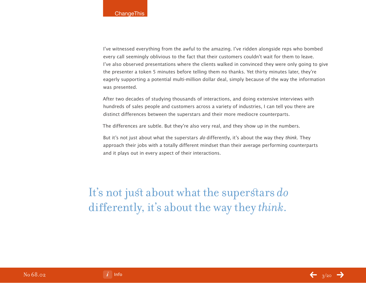I've witnessed everything from the awful to the amazing. I've ridden alongside reps who bombed every call seemingly oblivious to the fact that their customers couldn't wait for them to leave. I've also observed presentations where the clients walked in convinced they were only going to give the presenter a token 5 minutes before telling them no thanks. Yet thirty minutes later, they're eagerly supporting a potential multi-million dollar deal, simply because of the way the information was presented.

After two decades of studying thousands of interactions, and doing extensive interviews with hundreds of sales people and customers across a variety of industries, I can tell you there are distinct differences between the superstars and their more mediocre counterparts.

The differences are subtle. But they're also very real, and they show up in the numbers.

But it's not just about what the superstars do differently, it's about the way they think. They approach their jobs with a totally different mindset than their average performing counterparts and it plays out in every aspect of their interactions.

It's not just about what the superstars *do* differently, it's about the way they *think*.

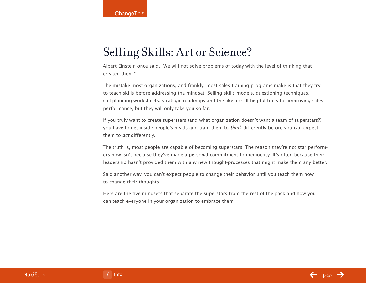# Selling Skills: Art or Science?

Albert Einstein once said, "We will not solve problems of today with the level of thinking that created them."

The mistake most organizations, and frankly, most sales training programs make is that they try to teach skills before addressing the mindset. Selling skills models, questioning techniques, call-planning worksheets, strategic roadmaps and the like are all helpful tools for improving sales performance, but they will only take you so far.

If you truly want to create superstars (and what organization doesn't want a team of superstars?) you have to get inside people's heads and train them to think differently before you can expect them to act differently.

The truth is, most people are capable of becoming superstars. The reason they're not star performers now isn't because they've made a personal commitment to mediocrity. It's often because their leadership hasn't provided them with any new thought-processes that might make them any better.

Said another way, you can't expect people to change their behavior until you teach them how to change their thoughts.

Here are the five mindsets that separate the superstars from the rest of the pack and how you can teach everyone in your organization to embrace them:



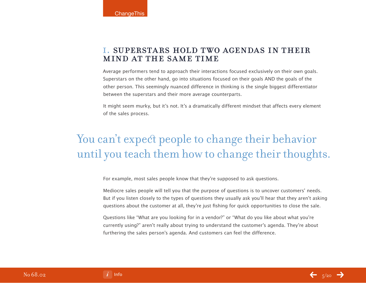## i. superstars hold two agendas in their mind at the same time

Average performers tend to approach their interactions focused exclusively on their own goals. Superstars on the other hand, go into situations focused on their goals AND the goals of the other person. This seemingly nuanced difference in thinking is the single biggest differentiator between the superstars and their more average counterparts.

It might seem murky, but it's not. It's a dramatically different mindset that affects every element of the sales process.

# You can't expect people to change their behavior until you teach them how to change their thoughts.

For example, most sales people know that they're supposed to ask questions.

Mediocre sales people will tell you that the purpose of questions is to uncover customers' needs. But if you listen closely to the types of questions they usually ask you'll hear that they aren't asking questions about the customer at all, they're just fishing for quick opportunities to close the sale.

Questions like "What are you looking for in a vendor?" or "What do you like about what you're currently using?" aren't really about trying to understand the customer's agenda. They're about furthering the sales person's agenda. And customers can feel the difference.

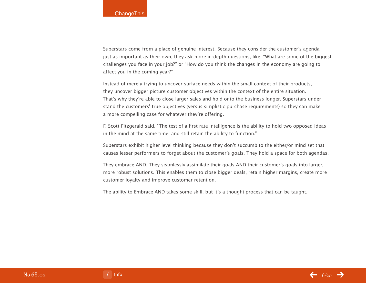Superstars come from a place of genuine interest. Because they consider the customer's agenda just as important as their own, they ask more in-depth questions, like, "What are some of the biggest challenges you face in your job?" or "How do you think the changes in the economy are going to affect you in the coming year?"

Instead of merely trying to uncover surface needs within the small context of their products, they uncover bigger picture customer objectives within the context of the entire situation. That's why they're able to close larger sales and hold onto the business longer. Superstars understand the customers' true objectives (versus simplistic purchase requirements) so they can make a more compelling case for whatever they're offering.

F. Scott Fitzgerald said, "The test of a first rate intelligence is the ability to hold two opposed ideas in the mind at the same time, and still retain the ability to function."

Superstars exhibit higher level thinking because they don't succumb to the either/or mind set that causes lesser performers to forget about the customer's goals. They hold a space for both agendas.

They embrace AND. They seamlessly assimilate their goals AND their customer's goals into larger, more robust solutions. This enables them to close bigger deals, retain higher margins, create more customer loyalty and improve customer retention.

The ability to Embrace AND takes some skill, but it's a thought-process that can be taught.

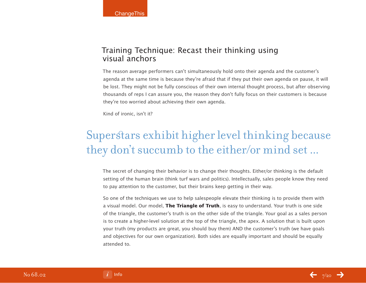## Training Technique: Recast their thinking using visual anchors

The reason average performers can't simultaneously hold onto their agenda and the customer's agenda at the same time is because they're afraid that if they put their own agenda on pause, it will be lost. They might not be fully conscious of their own internal thought process, but after observing thousands of reps I can assure you, the reason they don't fully focus on their customers is because they're too worried about achieving their own agenda.

Kind of ironic, isn't it?

# Superstars exhibit higher level thinking because they don't succumb to the either/or mind set ...

The secret of changing their behavior is to change their thoughts. Either/or thinking is the default setting of the human brain (think turf wars and politics). Intellectually, sales people know they need to pay attention to the customer, but their brains keep getting in their way.

So one of the techniques we use to help salespeople elevate their thinking is to provide them with a visual model. Our model, **The Triangle of Truth**, is easy to understand. Your truth is one side of the triangle, the customer's truth is on the other side of the triangle. Your goal as a sales person is to create a higher-level solution at the top of the triangle, the apex. A solution that is built upon your truth (my products are great, you should buy them) AND the customer's truth (we have goals and objectives for our own organization). Both sides are equally important and should be equally attended to.

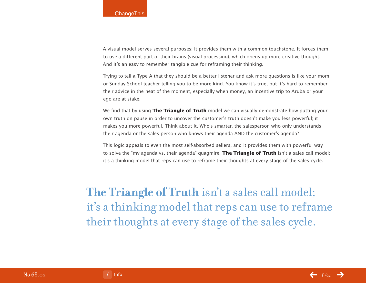A visual model serves several purposes: It provides them with a common touchstone. It forces them to use a different part of their brains (visual processing), which opens up more creative thought. And it's an easy to remember tangible cue for reframing their thinking.

Trying to tell a Type A that they should be a better listener and ask more questions is like your mom or Sunday School teacher telling you to be more kind. You know it's true, but it's hard to remember their advice in the heat of the moment, especially when money, an incentive trip to Aruba or your ego are at stake.

We find that by using **The Triangle of Truth** model we can visually demonstrate how putting your own truth on pause in order to uncover the customer's truth doesn't make you less powerful; it makes you more powerful. Think about it. Who's smarter, the salesperson who only understands their agenda or the sales person who knows their agenda AND the customer's agenda?

This logic appeals to even the most self-absorbed sellers, and it provides them with powerful way to solve the "my agenda vs. their agenda" quagmire. **The Triangle of Truth** isn't a sales call model; it's a thinking model that reps can use to reframe their thoughts at every stage of the sales cycle.

**The Triangle of Truth** isn't a sales call model; it's a thinking model that reps can use to reframe their thoughts at every stage of the sales cycle.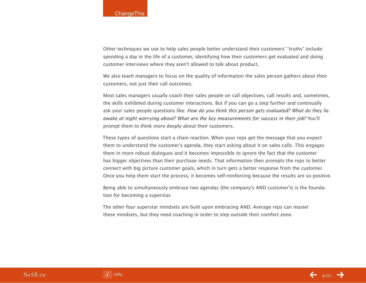Other techniques we use to help sales people better understand their customers' "truths" include: spending a day in the life of a customer, identifying how their customers get evaluated and doing customer interviews where they aren't allowed to talk about product.

We also teach managers to focus on the quality of information the sales person gathers about their customers, not just their call outcomes.

Most sales managers usually coach their sales people on call objectives, call results and, sometimes, the skills exhibited during customer interactions. But if you can go a step further and continually ask your sales people questions like: How do you think this person gets evaluated? What do they lie awake at night worrying about? What are the key measurements for success in their job? You'll prompt them to think more deeply about their customers.

These types of questions start a chain reaction. When your reps get the message that you expect them to understand the customer's agenda, they start asking about it on sales calls. This engages them in more robust dialogues and it becomes impossible to ignore the fact that the customer has bigger objectives than their purchase needs. That information then prompts the reps to better connect with big picture customer goals, which in turn gets a better response from the customer. Once you help them start the process, it becomes self-reinforcing because the results are so positive.

Being able to simultaneously embrace two agendas (the company's AND customer's) is the foundation for becoming a superstar.

The other four superstar mindsets are built upon embracing AND. Average reps can master these mindsets, but they need coaching in order to step outside their comfort zone.

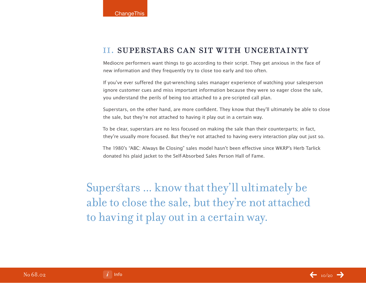## ii. superstars can sit with uncertainty

Mediocre performers want things to go according to their script. They get anxious in the face of new information and they frequently try to close too early and too often.

If you've ever suffered the gut-wrenching sales manager experience of watching your salesperson ignore customer cues and miss important information because they were so eager close the sale, you understand the perils of being too attached to a pre-scripted call plan.

Superstars, on the other hand, are more confident. They know that they'll ultimately be able to close the sale, but they're not attached to having it play out in a certain way.

To be clear, superstars are no less focused on making the sale than their counterparts; in fact, they're usually more focused. But they're not attached to having every interaction play out just so.

The 1980's "ABC: Always Be Closing" sales model hasn't been effective since WKRP's Herb Tarlick donated his plaid jacket to the Self-Absorbed Sales Person Hall of Fame.

Superstars ... know that they'll ultimately be able to close the sale, but they're not attached to having it play out in a certain way.

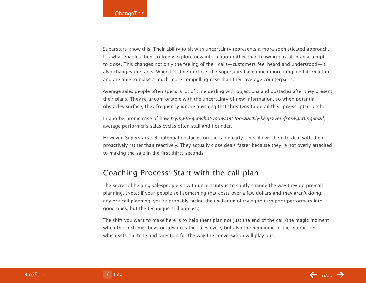Superstars know this. Their ability to sit with uncertainty represents a more sophisticated approach. It's what enables them to freely explore new information rather than blowing past it in an attempt to close. This changes not only the feeling of their calls—customers feel heard and understood—it also changes the facts. When it's time to close, the superstars have much more tangible information and are able to make a much more compelling case than their average counterparts.

Average sales people often spend a lot of time dealing with objections and obstacles after they present their plans. They're uncomfortable with the uncertainty of new information, so when potential obstacles surface, they frequently ignore anything that threatens to derail their pre-scripted pitch.

In another ironic case of how trying-to-get-what-you-want too-quickly-keeps-you-from-getting-it-all, average performer's sales cycles often stall and flounder.

However, Superstars get potential obstacles on the table early. This allows them to deal with them proactively rather than reactively. They actually close deals faster because they're not overly attached to making the sale in the first thirty seconds.

## Coaching Process: Start with the call plan

The secret of helping salespeople sit with uncertainty is to subtly change the way they do pre-call planning. (Note: If your people sell something that costs over a few dollars and they aren't doing any pre-call planning, you're probably facing the challenge of trying to turn poor performers into good ones, but the technique still applies.)

The shift you want to make here is to help them plan not just the end of the call (the magic moment when the customer buys or advances the sales cycle) but also the beginning of the interaction, which sets the tone and direction for the way the conversation will play out.

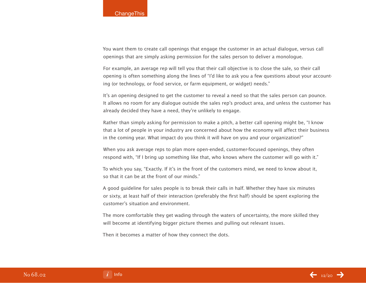You want them to create call openings that engage the customer in an actual dialogue, versus call openings that are simply asking permission for the sales person to deliver a monologue.

For example, an average rep will tell you that their call objective is to close the sale, so their call opening is often something along the lines of "I'd like to ask you a few questions about your accounting (or technology, or food service, or farm equipment, or widget) needs."

It's an opening designed to get the customer to reveal a need so that the sales person can pounce. It allows no room for any dialogue outside the sales rep's product area, and unless the customer has already decided they have a need, they're unlikely to engage.

Rather than simply asking for permission to make a pitch, a better call opening might be, "I know that a lot of people in your industry are concerned about how the economy will affect their business in the coming year. What impact do you think it will have on you and your organization?"

When you ask average reps to plan more open-ended, customer-focused openings, they often respond with, "If I bring up something like that, who knows where the customer will go with it."

To which you say, "Exactly. If it's in the front of the customers mind, we need to know about it, so that it can be at the front of our minds."

A good guideline for sales people is to break their calls in half. Whether they have six minutes or sixty, at least half of their interaction (preferably the first half) should be spent exploring the customer's situation and environment.

The more comfortable they get wading through the waters of uncertainty, the more skilled they will become at identifying bigger picture themes and pulling out relevant issues.

Then it becomes a matter of how they connect the dots.

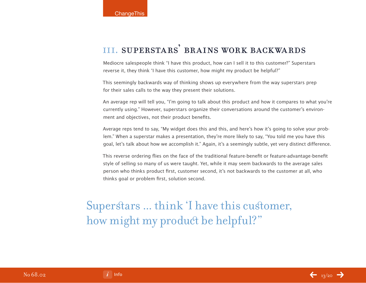# iii. superstars' brains work backwards

Mediocre salespeople think "I have this product, how can I sell it to this customer?" Superstars reverse it, they think 'I have this customer, how might my product be helpful?"

This seemingly backwards way of thinking shows up everywhere from the way superstars prep for their sales calls to the way they present their solutions.

An average rep will tell you, "I'm going to talk about this product and how it compares to what you're currently using." However, superstars organize their conversations around the customer's environment and objectives, not their product benefits.

Average reps tend to say, "My widget does this and this, and here's how it's going to solve your problem." When a superstar makes a presentation, they're more likely to say, "You told me you have this goal, let's talk about how we accomplish it." Again, it's a seemingly subtle, yet very distinct difference.

This reverse ordering flies on the face of the traditional feature-benefit or feature-advantage-benefit style of selling so many of us were taught. Yet, while it may seem backwards to the average sales person who thinks product first, customer second, it's not backwards to the customer at all, who thinks goal or problem first, solution second.

Superstars ... think 'I have this customer, how might my product be helpful?"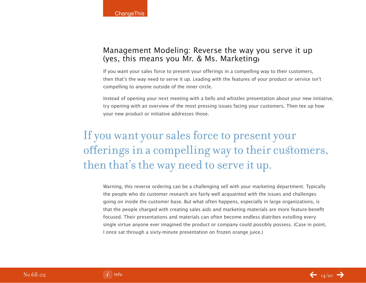## Management Modeling: Reverse the way you serve it up (yes, this means you Mr. & Ms. Marketing**)**

If you want your sales force to present your offerings in a compelling way to their customers, then that's the way need to serve it up. Leading with the features of your product or service isn't compelling to anyone outside of the inner circle.

Instead of opening your next meeting with a bells and whistles presentation about your new initiative, try opening with an overview of the most pressing issues facing your customers. Then tee up how your new product or initiative addresses those.

# If you want your sales force to present your offerings in a compelling way to their customers, then that's the way need to serve it up.

Warning, this reverse ordering can be a challenging sell with your marketing department. Typically the people who do customer research are fairly well acquainted with the issues and challenges going on inside the customer base. But what often happens, especially in large organizations, is that the people charged with creating sales aids and marketing materials are more feature-benefit focused. Their presentations and materials can often become endless diatribes extolling every single virtue anyone ever imagined the product or company could possibly possess. (Case in point, I once sat through a sixty-minute presentation on frozen orange juice.)

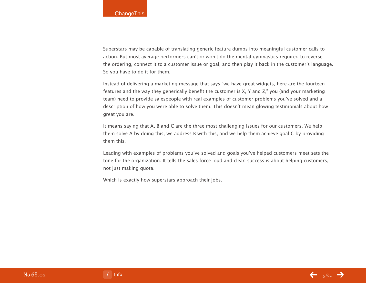Superstars may be capable of translating generic feature dumps into meaningful customer calls to action. But most average performers can't or won't do the mental gymnastics required to reverse the ordering, connect it to a customer issue or goal, and then play it back in the customer's language. So you have to do it for them.

Instead of delivering a marketing message that says "we have great widgets, here are the fourteen features and the way they generically benefit the customer is X, Y and Z," you (and your marketing team) need to provide salespeople with real examples of customer problems you've solved and a description of how you were able to solve them. This doesn't mean glowing testimonials about how great you are.

It means saying that A, B and C are the three most challenging issues for our customers. We help them solve A by doing this, we address B with this, and we help them achieve goal C by providing them this.

Leading with examples of problems you've solved and goals you've helped customers meet sets the tone for the organization. It tells the sales force loud and clear, success is about helping customers, not just making quota.

Which is exactly how superstars approach their jobs.

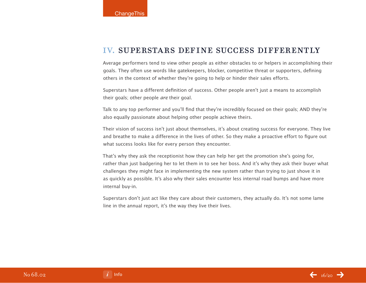#### iv. superstars def ine success differently

Average performers tend to view other people as either obstacles to or helpers in accomplishing their goals. They often use words like gatekeepers, blocker, competitive threat or supporters, defining others in the context of whether they're going to help or hinder their sales efforts.

Superstars have a different definition of success. Other people aren't just a means to accomplish their goals; other people are their goal.

Talk to any top performer and you'll find that they're incredibly focused on their goals; AND they're also equally passionate about helping other people achieve theirs.

Their vision of success isn't just about themselves, it's about creating success for everyone. They live and breathe to make a difference in the lives of other. So they make a proactive effort to figure out what success looks like for every person they encounter.

That's why they ask the receptionist how they can help her get the promotion she's going for, rather than just badgering her to let them in to see her boss. And it's why they ask their buyer what challenges they might face in implementing the new system rather than trying to just shove it in as quickly as possible. It's also why their sales encounter less internal road bumps and have more internal buy-in.

Superstars don't just act like they care about their customers, they actually do. It's not some lame line in the annual report, it's the way they live their lives.

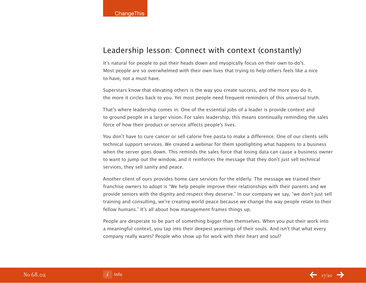## Leadership lesson: Connect with context (constantly)

It's natural for people to put their heads down and myopically focus on their own to-do's. Most people are so overwhelmed with their own lives that trying to help others feels like a nice to have, not a must have.

Superstars know that elevating others is the way you create success, and the more you do it, the more it circles back to you. Yet most people need frequent reminders of this universal truth.

That's where leadership comes in. One of the essential jobs of a leader is provide context and to ground people in a larger vision. For sales leadership, this means continually reminding the sales force of how their product or service affects people's lives.

You don't have to cure cancer or sell calorie free pasta to make a difference. One of our clients sells technical support services. We created a webinar for them spotlighting what happens to a business when the server goes down. This reminds the sales force that losing data can cause a business owner to want to jump out the window, and it reinforces the message that they don't just sell technical services, they sell sanity and peace.

Another client of ours provides home care services for the elderly. The message we trained their franchise owners to adopt is "We help people improve their relationships with their parents and we provide seniors with the dignity and respect they deserve." In our company we say, "we don't just sell training and consulting, we're creating world peace because we change the way people relate to their fellow humans." It's all about how management frames things up.

People are desperate to be part of something bigger than themselves. When you put their work into a meaningful context, you tap into their deepest yearnings of their souls. And isn't that what every company really wants? People who show up for work with their heart and soul?

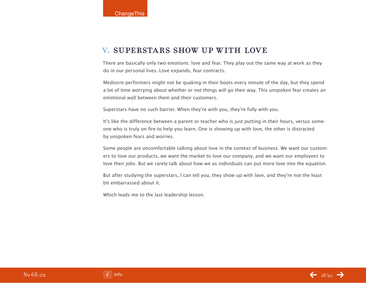## v. superstars show up with love

There are basically only two emotions: love and fear. They play out the same way at work as they do in our personal lives. Love expands, fear contracts.

Mediocre performers might not be quaking in their boots every minute of the day, but they spend a lot of time worrying about whether or not things will go their way. This unspoken fear creates an emotional wall between them and their customers.

Superstars have no such barrier. When they're with you, they're fully with you.

It's like the difference between a parent or teacher who is just putting in their hours, versus someone who is truly on fire to help you learn. One is showing up with love, the other is distracted by unspoken fears and worries.

Some people are uncomfortable talking about love in the context of business. We want our customers to love our products, we want the market to love our company, and we want our employees to love their jobs. But we rarely talk about how we as individuals can put more love into the equation.

But after studying the superstars, I can tell you, they show up with love, and they're not the least bit embarrassed about it.

Which leads me to the last leadership lesson.

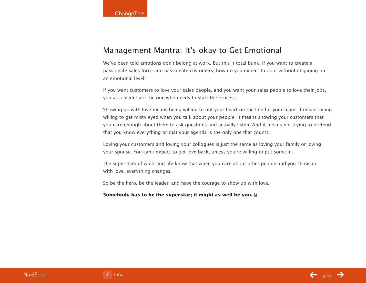## Management Mantra: It's okay to Get Emotional

We've been told emotions don't belong at work. But this it total bunk. If you want to create a passionate sales force and passionate customers, how do you expect to do it without engaging on an emotional level?

If you want customers to love your sales people, and you want your sales people to love their jobs, you as a leader are the one who needs to start the process.

Showing up with love means being willing to put your heart on the line for your team. It means being willing to get misty eyed when you talk about your people. It means showing your customers that you care enough about them to ask questions and actually listen. And it means not trying to pretend that you know everything or that your agenda is the only one that counts.

Loving your customers and loving your collogues is just the same as loving your family or loving your spouse. You can't expect to get love back, unless you're willing to put some in.

The superstars of work and life know that when you care about other people and you show up with love, everything changes.

So be the hero, be the leader, and have the courage to show up with love.

#### **Somebody has to be the superstar; it might as well be you.**